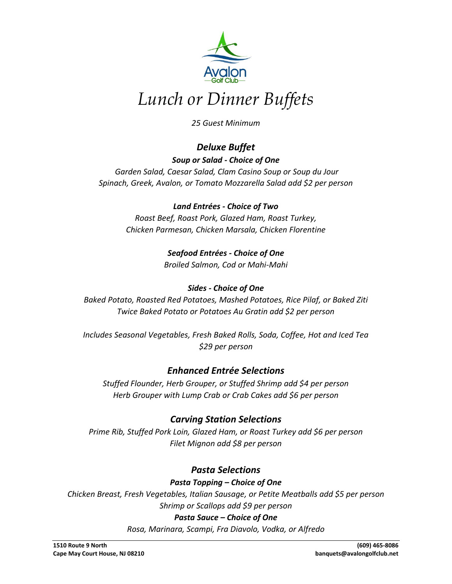

# *Lunch or Dinner Buffets*

*25 Guest Minimum*

# *Deluxe Buffet*

#### *Soup or Salad - Choice of One*

*Garden Salad, Caesar Salad, Clam Casino Soup or Soup du Jour Spinach, Greek, Avalon, or Tomato Mozzarella Salad add \$2 per person*

#### *Land Entrées - Choice of Two*

*Roast Beef, Roast Pork, Glazed Ham, Roast Turkey, Chicken Parmesan, Chicken Marsala, Chicken Florentine*

> *Seafood Entrées - Choice of One Broiled Salmon, Cod or Mahi-Mahi*

#### *Sides - Choice of One*

*Baked Potato, Roasted Red Potatoes, Mashed Potatoes, Rice Pilaf, or Baked Ziti Twice Baked Potato or Potatoes Au Gratin add \$2 per person*

*Includes Seasonal Vegetables, Fresh Baked Rolls, Soda, Coffee, Hot and Iced Tea \$29 per person*

## *Enhanced Entrée Selections*

*Stuffed Flounder, Herb Grouper, or Stuffed Shrimp add \$4 per person Herb Grouper with Lump Crab or Crab Cakes add \$6 per person*

# *Carving Station Selections*

*Prime Rib, Stuffed Pork Loin, Glazed Ham, or Roast Turkey add \$6 per person Filet Mignon add \$8 per person*

## *Pasta Selections*

*Pasta Topping – Choice of One*

*Chicken Breast, Fresh Vegetables, Italian Sausage, or Petite Meatballs add \$5 per person Shrimp or Scallops add \$9 per person*

#### *Pasta Sauce – Choice of One*

*Rosa, Marinara, Scampi, Fra Diavolo, Vodka, or Alfredo*